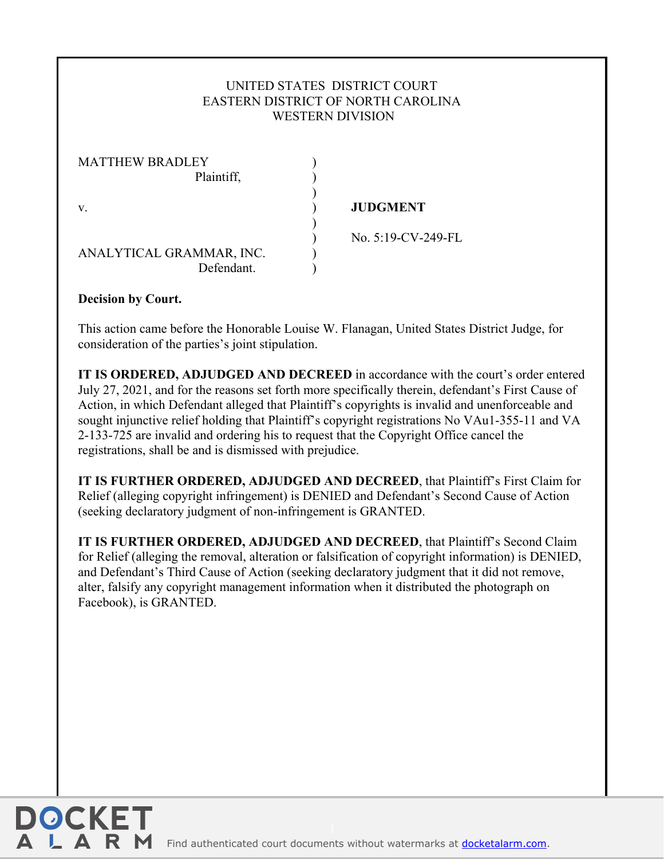## UNITED STATES DISTRICT COURT EASTERN DISTRICT OF NORTH CAROLINA WESTERN DIVISION

| <b>MATTHEW BRADLEY</b>   |                    |
|--------------------------|--------------------|
| Plaintiff,               |                    |
|                          |                    |
| V.                       | <b>JUDGMENT</b>    |
|                          |                    |
|                          | No. 5:19-CV-249-FL |
| ANALYTICAL GRAMMAR, INC. |                    |
| Defendant.               |                    |

## **Decision by Court.**

This action came before the Honorable Louise W. Flanagan, United States District Judge, for consideration of the parties's joint stipulation.

**IT IS ORDERED, ADJUDGED AND DECREED** in accordance with the court's order entered July 27, 2021, and for the reasons set forth more specifically therein, defendant's First Cause of Action, in which Defendant alleged that Plaintiff's copyrights is invalid and unenforceable and sought injunctive relief holding that Plaintiff's copyright registrations No VAu1-355-11 and VA 2-133-725 are invalid and ordering his to request that the Copyright Office cancel the registrations, shall be and is dismissed with prejudice.

**IT IS FURTHER ORDERED, ADJUDGED AND DECREED**, that Plaintiff's First Claim for Relief (alleging copyright infringement) is DENIED and Defendant's Second Cause of Action (seeking declaratory judgment of non-infringement is GRANTED.

**IT IS FURTHER ORDERED, ADJUDGED AND DECREED**, that Plaintiff's Second Claim for Relief (alleging the removal, alteration or falsification of copyright information) is DENIED, and Defendant's Third Cause of Action (seeking declaratory judgment that it did not remove, alter, falsify any copyright management information when it distributed the photograph on Facebook), is GRANTED.